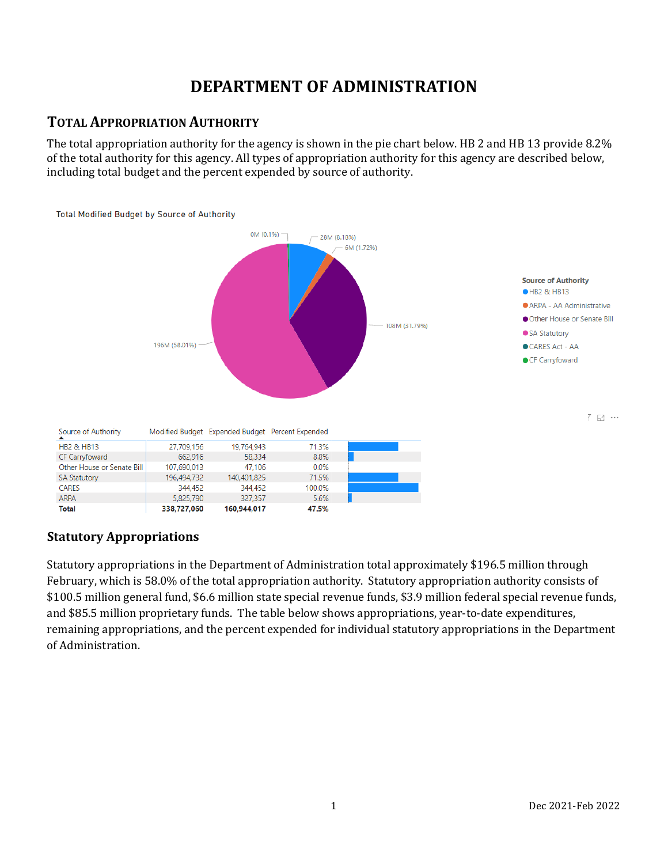# **DEPARTMENT OF ADMINISTRATION**

## **TOTAL APPROPRIATION AUTHORITY**

The total appropriation authority for the agency is shown in the pie chart below. HB 2 and HB 13 provide 8.2% of the total authority for this agency. All types of appropriation authority for this agency are described below, including total budget and the percent expended by source of authority.



## **Statutory Appropriations**

Statutory appropriations in the Department of Administration total approximately \$196.5 million through February, which is 58.0% of the total appropriation authority. Statutory appropriation authority consists of \$100.5 million general fund, \$6.6 million state special revenue funds, \$3.9 million federal special revenue funds, and \$85.5 million proprietary funds. The table below shows appropriations, year-to-date expenditures, remaining appropriations, and the percent expended for individual statutory appropriations in the Department of Administration.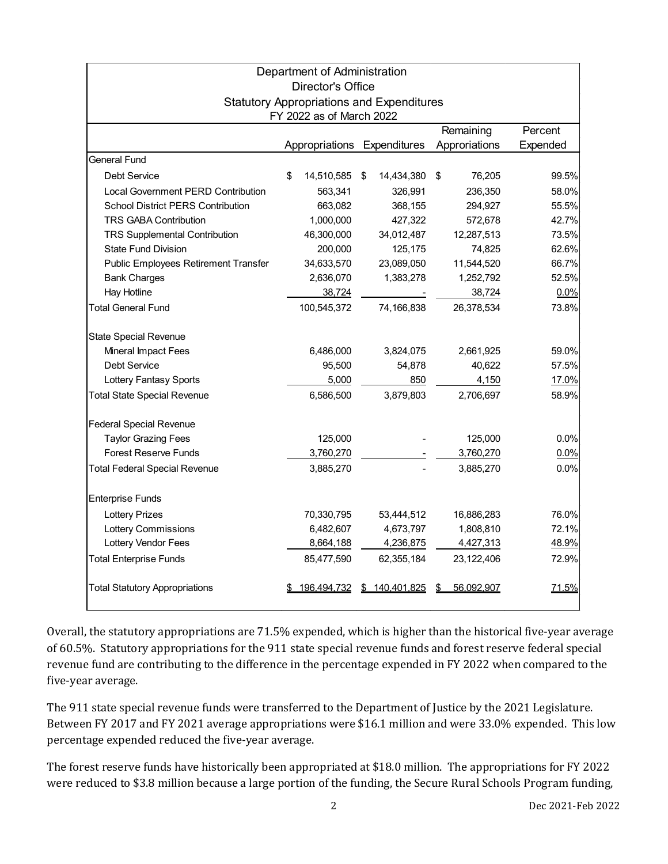|                                                  |    | Department of Administration<br><b>Director's Office</b> |    |                    |    |               |          |  |
|--------------------------------------------------|----|----------------------------------------------------------|----|--------------------|----|---------------|----------|--|
| <b>Statutory Appropriations and Expenditures</b> |    |                                                          |    |                    |    |               |          |  |
| FY 2022 as of March 2022                         |    |                                                          |    |                    |    |               |          |  |
|                                                  |    | Remaining                                                |    |                    |    |               | Percent  |  |
|                                                  |    | Appropriations Expenditures                              |    |                    |    | Approriations | Expended |  |
| <b>General Fund</b>                              |    |                                                          |    |                    |    |               |          |  |
| Debt Service                                     | \$ | 14,510,585                                               | \$ | 14,434,380         | \$ | 76,205        | 99.5%    |  |
| Local Government PERD Contribution               |    | 563,341                                                  |    | 326,991            |    | 236,350       | 58.0%    |  |
| <b>School District PERS Contribution</b>         |    | 663,082                                                  |    | 368,155            |    | 294,927       | 55.5%    |  |
| <b>TRS GABA Contribution</b>                     |    | 1,000,000                                                |    | 427,322            |    | 572,678       | 42.7%    |  |
| TRS Supplemental Contribution                    |    | 46,300,000                                               |    | 34,012,487         |    | 12,287,513    | 73.5%    |  |
| <b>State Fund Division</b>                       |    | 200,000                                                  |    | 125,175            |    | 74,825        | 62.6%    |  |
| Public Employees Retirement Transfer             |    | 34,633,570                                               |    | 23,089,050         |    | 11,544,520    | 66.7%    |  |
| <b>Bank Charges</b>                              |    | 2,636,070                                                |    | 1,383,278          |    | 1,252,792     | 52.5%    |  |
| Hay Hotline                                      |    | 38,724                                                   |    |                    |    | 38,724        | 0.0%     |  |
| <b>Total General Fund</b>                        |    | 100,545,372                                              |    | 74,166,838         |    | 26,378,534    | 73.8%    |  |
| <b>State Special Revenue</b>                     |    |                                                          |    |                    |    |               |          |  |
| Mineral Impact Fees                              |    | 6,486,000                                                |    | 3,824,075          |    | 2,661,925     | 59.0%    |  |
| Debt Service                                     |    | 95,500                                                   |    | 54,878             |    | 40.622        | 57.5%    |  |
| Lottery Fantasy Sports                           |    | 5,000                                                    |    | 850                |    | 4,150         | 17.0%    |  |
| <b>Total State Special Revenue</b>               |    | 6,586,500                                                |    | 3,879,803          |    | 2,706,697     | 58.9%    |  |
| <b>Federal Special Revenue</b>                   |    |                                                          |    |                    |    |               |          |  |
| <b>Taylor Grazing Fees</b>                       |    | 125,000                                                  |    |                    |    | 125,000       | 0.0%     |  |
| <b>Forest Reserve Funds</b>                      |    | 3,760,270                                                |    |                    |    | 3,760,270     | 0.0%     |  |
| <b>Total Federal Special Revenue</b>             |    | 3,885,270                                                |    |                    |    | 3,885,270     | 0.0%     |  |
| <b>Enterprise Funds</b>                          |    |                                                          |    |                    |    |               |          |  |
| <b>Lottery Prizes</b>                            |    | 70,330,795                                               |    | 53,444,512         |    | 16,886,283    | 76.0%    |  |
| <b>Lottery Commissions</b>                       |    | 6,482,607                                                |    | 4,673,797          |    | 1,808,810     | 72.1%    |  |
| Lottery Vendor Fees                              |    | 8,664,188                                                |    | 4,236,875          |    | 4,427,313     | 48.9%    |  |
| <b>Total Enterprise Funds</b>                    |    | 85,477,590                                               |    | 62,355,184         |    | 23,122,406    | 72.9%    |  |
| <b>Total Statutory Appropriations</b>            |    | <u>196.494.732</u>                                       | S  | <u>140.401.825</u> |    | 56.092.907    | 71.5%    |  |

Overall, the statutory appropriations are 71.5% expended, which is higher than the historical five-year average of 60.5%. Statutory appropriations for the 911 state special revenue funds and forest reserve federal special revenue fund are contributing to the difference in the percentage expended in FY 2022 when compared to the five-year average.

The 911 state special revenue funds were transferred to the Department of Justice by the 2021 Legislature. Between FY 2017 and FY 2021 average appropriations were \$16.1 million and were 33.0% expended. This low percentage expended reduced the five-year average.

The forest reserve funds have historically been appropriated at \$18.0 million. The appropriations for FY 2022 were reduced to \$3.8 million because a large portion of the funding, the Secure Rural Schools Program funding,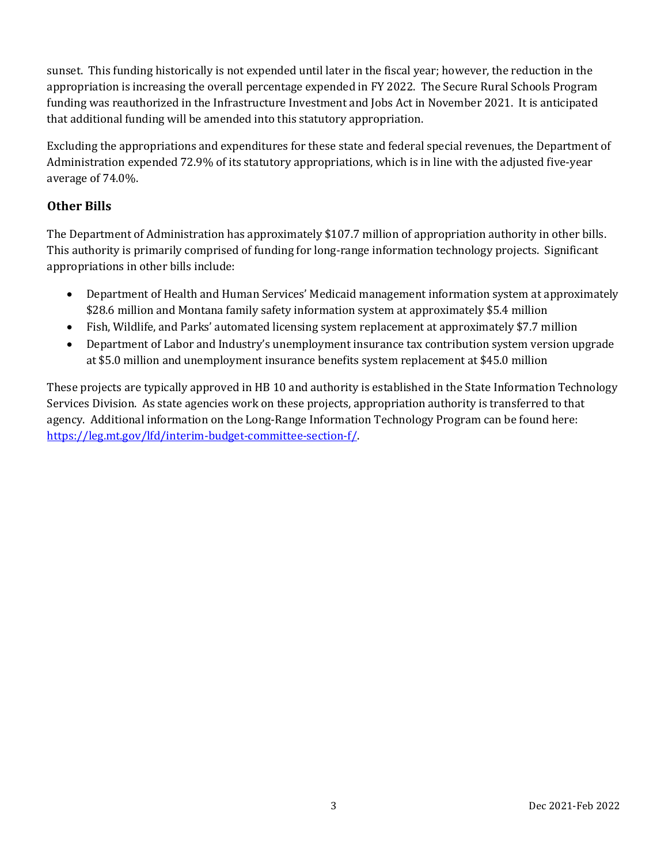sunset. This funding historically is not expended until later in the fiscal year; however, the reduction in the appropriation is increasing the overall percentage expended in FY 2022. The Secure Rural Schools Program funding was reauthorized in the Infrastructure Investment and Jobs Act in November 2021. It is anticipated that additional funding will be amended into this statutory appropriation.

Excluding the appropriations and expenditures for these state and federal special revenues, the Department of Administration expended 72.9% of its statutory appropriations, which is in line with the adjusted five-year average of 74.0%.

### **Other Bills**

The Department of Administration has approximately \$107.7 million of appropriation authority in other bills. This authority is primarily comprised of funding for long-range information technology projects. Significant appropriations in other bills include:

- Department of Health and Human Services' Medicaid management information system at approximately \$28.6 million and Montana family safety information system at approximately \$5.4 million
- Fish, Wildlife, and Parks' automated licensing system replacement at approximately \$7.7 million
- Department of Labor and Industry's unemployment insurance tax contribution system version upgrade at \$5.0 million and unemployment insurance benefits system replacement at \$45.0 million

These projects are typically approved in HB 10 and authority is established in the State Information Technology Services Division. As state agencies work on these projects, appropriation authority is transferred to that agency. Additional information on the Long-Range Information Technology Program can be found here: [https://leg.mt.gov/lfd/interim-budget-committee-section-f/.](https://leg.mt.gov/lfd/interim-budget-committee-section-f/)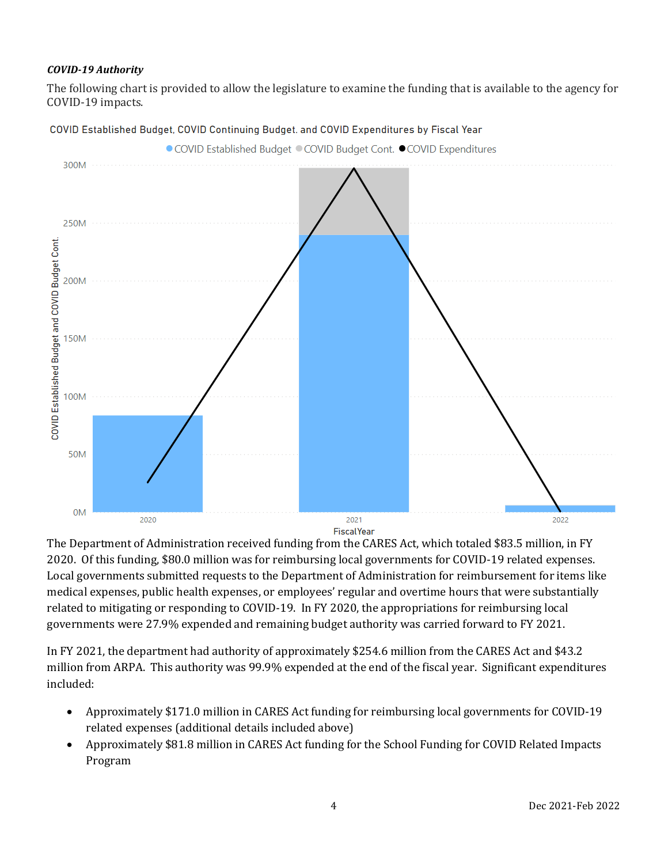#### *COVID-19 Authority*

The following chart is provided to allow the legislature to examine the funding that is available to the agency for COVID-19 impacts.



COVID Established Budget, COVID Continuing Budget. and COVID Expenditures by Fiscal Year

The Department of Administration received funding from the CARES Act, which totaled \$83.5 million, in FY 2020. Of this funding, \$80.0 million was for reimbursing local governments for COVID-19 related expenses. Local governments submitted requests to the Department of Administration for reimbursement for items like medical expenses, public health expenses, or employees' regular and overtime hours that were substantially related to mitigating or responding to COVID-19. In FY 2020, the appropriations for reimbursing local governments were 27.9% expended and remaining budget authority was carried forward to FY 2021.

In FY 2021, the department had authority of approximately \$254.6 million from the CARES Act and \$43.2 million from ARPA. This authority was 99.9% expended at the end of the fiscal year. Significant expenditures included:

- Approximately \$171.0 million in CARES Act funding for reimbursing local governments for COVID-19 related expenses (additional details included above)
- Approximately \$81.8 million in CARES Act funding for the School Funding for COVID Related Impacts Program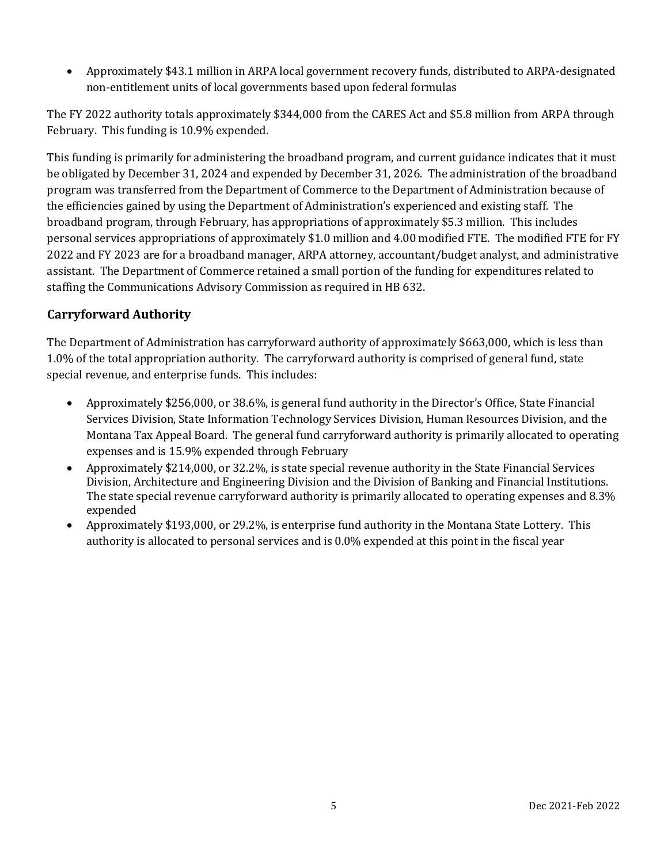• Approximately \$43.1 million in ARPA local government recovery funds, distributed to ARPA-designated non-entitlement units of local governments based upon federal formulas

The FY 2022 authority totals approximately \$344,000 from the CARES Act and \$5.8 million from ARPA through February. This funding is 10.9% expended.

This funding is primarily for administering the broadband program, and current guidance indicates that it must be obligated by December 31, 2024 and expended by December 31, 2026. The administration of the broadband program was transferred from the Department of Commerce to the Department of Administration because of the efficiencies gained by using the Department of Administration's experienced and existing staff. The broadband program, through February, has appropriations of approximately \$5.3 million. This includes personal services appropriations of approximately \$1.0 million and 4.00 modified FTE. The modified FTE for FY 2022 and FY 2023 are for a broadband manager, ARPA attorney, accountant/budget analyst, and administrative assistant. The Department of Commerce retained a small portion of the funding for expenditures related to staffing the Communications Advisory Commission as required in HB 632.

### **Carryforward Authority**

The Department of Administration has carryforward authority of approximately \$663,000, which is less than 1.0% of the total appropriation authority. The carryforward authority is comprised of general fund, state special revenue, and enterprise funds. This includes:

- Approximately \$256,000, or 38.6%, is general fund authority in the Director's Office, State Financial Services Division, State Information Technology Services Division, Human Resources Division, and the Montana Tax Appeal Board. The general fund carryforward authority is primarily allocated to operating expenses and is 15.9% expended through February
- Approximately \$214,000, or 32.2%, is state special revenue authority in the State Financial Services Division, Architecture and Engineering Division and the Division of Banking and Financial Institutions. The state special revenue carryforward authority is primarily allocated to operating expenses and 8.3% expended
- Approximately \$193,000, or 29.2%, is enterprise fund authority in the Montana State Lottery. This authority is allocated to personal services and is 0.0% expended at this point in the fiscal year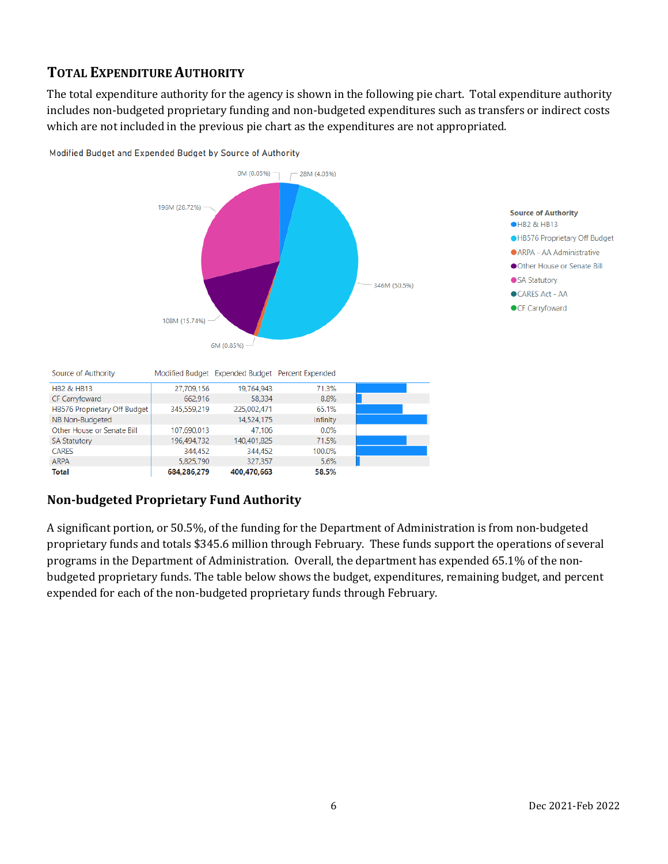## **TOTAL EXPENDITURE AUTHORITY**

The total expenditure authority for the agency is shown in the following pie chart. Total expenditure authority includes non-budgeted proprietary funding and non-budgeted expenditures such as transfers or indirect costs which are not included in the previous pie chart as the expenditures are not appropriated.



Modified Budget and Expended Budget by Source of Authority

#### **Non-budgeted Proprietary Fund Authority**

**CARES** 

ARPA

**Total** 

A significant portion, or 50.5%, of the funding for the Department of Administration is from non-budgeted proprietary funds and totals \$345.6 million through February. These funds support the operations of several programs in the Department of Administration. Overall, the department has expended 65.1% of the nonbudgeted proprietary funds. The table below shows the budget, expenditures, remaining budget, and percent expended for each of the non-budgeted proprietary funds through February.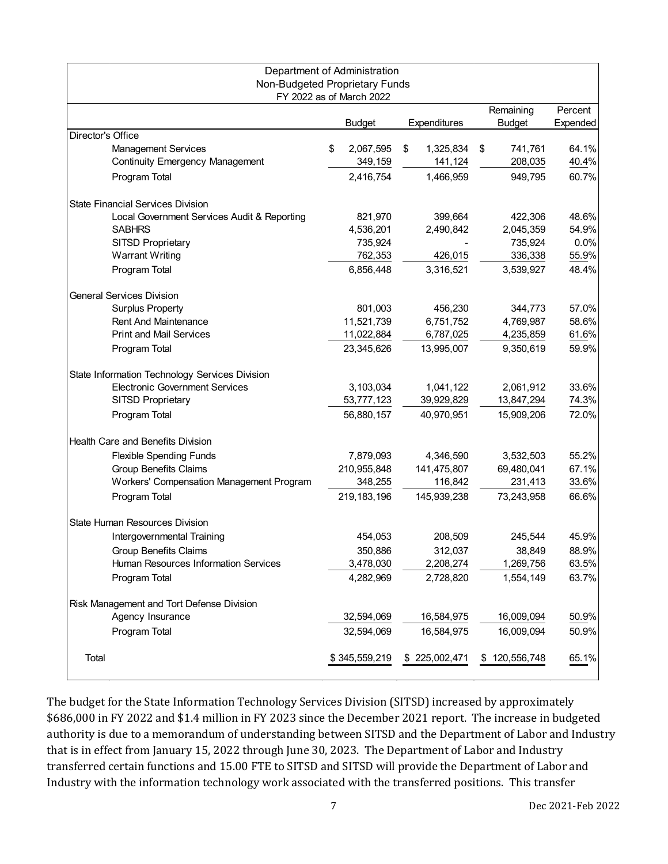| Department of Administration<br>Non-Budgeted Proprietary Funds       | FY 2022 as of March 2022   |                            |                            |                     |
|----------------------------------------------------------------------|----------------------------|----------------------------|----------------------------|---------------------|
|                                                                      | <b>Budget</b>              | Expenditures               | Remaining<br><b>Budget</b> | Percent<br>Expended |
| Director's Office                                                    |                            |                            |                            |                     |
| <b>Management Services</b><br><b>Continuity Emergency Management</b> | \$<br>2,067,595<br>349,159 | \$<br>1,325,834<br>141,124 | \$<br>741,761<br>208,035   | 64.1%<br>40.4%      |
| Program Total                                                        | 2,416,754                  | 1,466,959                  | 949,795                    | 60.7%               |
| <b>State Financial Services Division</b>                             |                            |                            |                            |                     |
| Local Government Services Audit & Reporting                          | 821,970                    | 399,664                    | 422,306                    | 48.6%               |
| <b>SABHRS</b>                                                        | 4,536,201                  | 2,490,842                  | 2,045,359                  | 54.9%               |
| SITSD Proprietary                                                    | 735,924                    |                            | 735,924                    | 0.0%                |
| <b>Warrant Writing</b>                                               | 762,353                    | 426,015                    | 336,338                    | 55.9%               |
| Program Total                                                        | 6,856,448                  | 3,316,521                  | 3,539,927                  | 48.4%               |
| <b>General Services Division</b>                                     |                            |                            |                            |                     |
| <b>Surplus Property</b>                                              | 801,003                    | 456,230                    | 344,773                    | 57.0%               |
| <b>Rent And Maintenance</b>                                          | 11,521,739                 | 6,751,752                  | 4,769,987                  | 58.6%               |
| <b>Print and Mail Services</b>                                       | 11,022,884                 | 6,787,025                  | 4,235,859                  | 61.6%               |
| Program Total                                                        | 23,345,626                 | 13,995,007                 | 9,350,619                  | 59.9%               |
| State Information Technology Services Division                       |                            |                            |                            |                     |
| <b>Electronic Government Services</b>                                | 3,103,034                  | 1,041,122                  | 2,061,912                  | 33.6%               |
| SITSD Proprietary                                                    | 53,777,123                 | 39,929,829                 | 13,847,294                 | 74.3%               |
| Program Total                                                        | 56,880,157                 | 40,970,951                 | 15,909,206                 | 72.0%               |
| <b>Health Care and Benefits Division</b>                             |                            |                            |                            |                     |
| Flexible Spending Funds                                              | 7,879,093                  | 4,346,590                  | 3,532,503                  | 55.2%               |
| <b>Group Benefits Claims</b>                                         | 210,955,848                | 141,475,807                | 69,480,041                 | 67.1%               |
| Workers' Compensation Management Program                             | 348,255                    | 116,842                    | 231,413                    | 33.6%               |
| Program Total                                                        | 219, 183, 196              | 145,939,238                | 73,243,958                 | 66.6%               |
| State Human Resources Division                                       |                            |                            |                            |                     |
| Intergovernmental Training                                           | 454,053                    | 208,509                    | 245,544                    | 45.9%               |
| <b>Group Benefits Claims</b>                                         | 350,886                    | 312,037                    | 38,849                     | 88.9%               |
| Human Resources Information Services                                 | 3,478,030                  | 2,208,274                  | 1,269,756                  | 63.5%               |
| Program Total                                                        | 4,282,969                  | 2,728,820                  | 1,554,149                  | 63.7%               |
| Risk Management and Tort Defense Division                            |                            |                            |                            |                     |
| Agency Insurance                                                     | 32,594,069                 | 16,584,975                 | 16,009,094                 | 50.9%               |
| Program Total                                                        | 32,594,069                 | 16,584,975                 | 16,009,094                 | 50.9%               |
| Total                                                                | \$345,559,219              | \$225,002,471              | \$<br>120,556,748          | 65.1%               |

The budget for the State Information Technology Services Division (SITSD) increased by approximately \$686,000 in FY 2022 and \$1.4 million in FY 2023 since the December 2021 report. The increase in budgeted authority is due to a memorandum of understanding between SITSD and the Department of Labor and Industry that is in effect from January 15, 2022 through June 30, 2023. The Department of Labor and Industry transferred certain functions and 15.00 FTE to SITSD and SITSD will provide the Department of Labor and Industry with the information technology work associated with the transferred positions. This transfer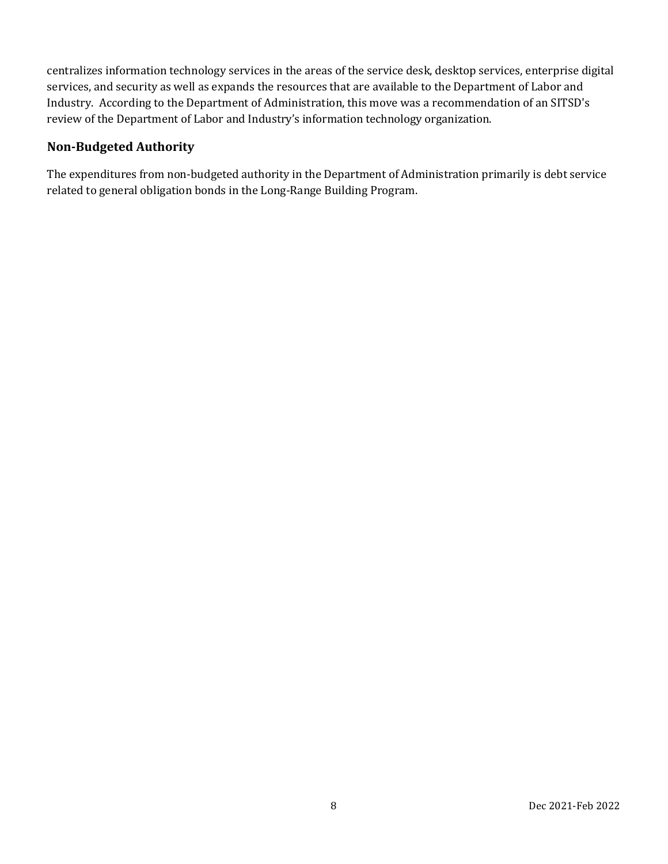centralizes information technology services in the areas of the service desk, desktop services, enterprise digital services, and security as well as expands the resources that are available to the Department of Labor and Industry. According to the Department of Administration, this move was a recommendation of an SITSD's review of the Department of Labor and Industry's information technology organization.

#### **Non-Budgeted Authority**

The expenditures from non-budgeted authority in the Department of Administration primarily is debt service related to general obligation bonds in the Long-Range Building Program.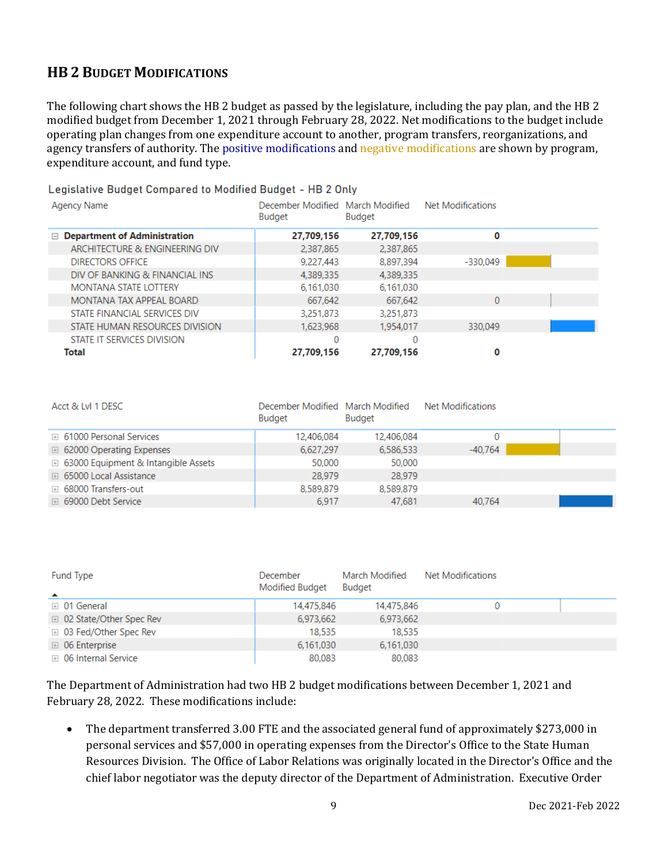## **HB 2 BUDGET MODIFICATIONS**

The following chart shows the HB 2 budget as passed by the legislature, including the pay plan, and the HB 2 modified budget from December 1, 2021 through February 28, 2022. Net modifications to the budget include operating plan changes from one expenditure account to another, program transfers, reorganizations, and agency transfers of authority. The positive modifications and negative modifications are shown by program, expenditure account, and fund type.

#### Legislative Budget Compared to Modified Budget - HB 2 Only

| Agency Name                         | December Modified March Modified<br>Budget | Budget     | Net Modifications |  |
|-------------------------------------|--------------------------------------------|------------|-------------------|--|
| $\Box$ Department of Administration | 27,709,156                                 | 27,709,156 | 0                 |  |
| ARCHITECTURE & ENGINEERING DIV      | 2,387,865                                  | 2,387,865  |                   |  |
| <b>DIRECTORS OFFICE</b>             | 9,227,443                                  | 8,897,394  | $-330.049$        |  |
| DIV OF BANKING & FINANCIAL INS      | 4.389.335                                  | 4,389,335  |                   |  |
| <b>MONTANA STATE LOTTERY</b>        | 6,161,030                                  | 6,161,030  |                   |  |
| MONTANA TAX APPEAL BOARD            | 667.642                                    | 667,642    | 0                 |  |
| STATE FINANCIAL SERVICES DIV        | 3,251,873                                  | 3,251,873  |                   |  |
| STATE HUMAN RESOURCES DIVISION      | 1,623,968                                  | 1.954.017  | 330.049           |  |
| STATE IT SERVICES DIVISION          | 0                                          | 0          |                   |  |
| Total                               | 27,709,156                                 | 27,709,156 | 0                 |  |

| Acct & LvI 1 DESC                            | December Modified March Modified<br>Budget | Budget     | Net Modifications |  |
|----------------------------------------------|--------------------------------------------|------------|-------------------|--|
| <b>E</b> 61000 Personal Services             | 12,406,084                                 | 12,406,084 |                   |  |
| □ 62000 Operating Expenses                   | 6,627,297                                  | 6,586,533  | $-40.764$         |  |
| <b>E</b> 63000 Equipment & Intangible Assets | 50,000                                     | 50,000     |                   |  |
| <b>E</b> 65000 Local Assistance              | 28,979                                     | 28,979     |                   |  |
| ⊞ 68000 Transfers-out                        | 8,589,879                                  | 8,589,879  |                   |  |
| ⊞ 69000 Debt Service                         | 6,917                                      | 47.681     | 40,764            |  |

| <b>Fund Type</b><br>$\blacktriangle$ | December<br>Modified Budget | March Modified<br><b>Budget</b> | Net Modifications |  |
|--------------------------------------|-----------------------------|---------------------------------|-------------------|--|
| ⊞ 01 General                         | 14,475,846                  | 14,475,846                      |                   |  |
| □ 02 State/Other Spec Rev            | 6,973,662                   | 6,973,662                       |                   |  |
| <b>E</b> 03 Fed/Other Spec Rev       | 18,535                      | 18,535                          |                   |  |
| $\boxplus$ 06 Enterprise             | 6,161,030                   | 6,161,030                       |                   |  |
| □ 06 Internal Service                | 80,083                      | 80,083                          |                   |  |

The Department of Administration had two HB 2 budget modifications between December 1, 2021 and February 28, 2022. These modifications include:

• The department transferred 3.00 FTE and the associated general fund of approximately \$273,000 in personal services and \$57,000 in operating expenses from the Director's Office to the State Human Resources Division. The Office of Labor Relations was originally located in the Director's Office and the chief labor negotiator was the deputy director of the Department of Administration. Executive Order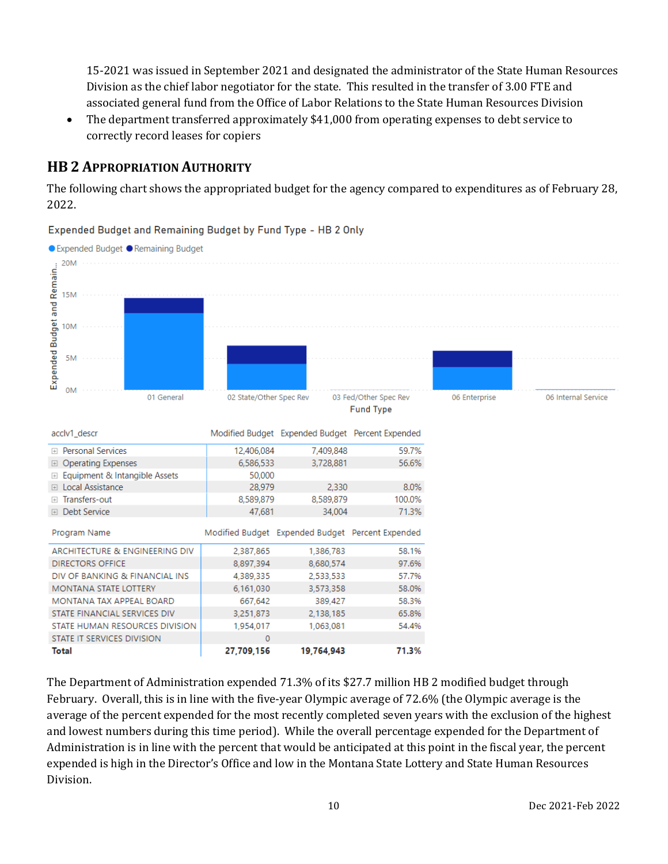15-2021 was issued in September 2021 and designated the administrator of the State Human Resources Division as the chief labor negotiator for the state. This resulted in the transfer of 3.00 FTE and associated general fund from the Office of Labor Relations to the State Human Resources Division

• The department transferred approximately \$41,000 from operating expenses to debt service to correctly record leases for copiers

## **HB 2 APPROPRIATION AUTHORITY**

The following chart shows the appropriated budget for the agency compared to expenditures as of February 28, 2022.



Expended Budget and Remaining Budget by Fund Type - HB 2 Only

The Department of Administration expended 71.3% of its \$27.7 million HB 2 modified budget through February. Overall, this is in line with the five-year Olympic average of 72.6% (the Olympic average is the average of the percent expended for the most recently completed seven years with the exclusion of the highest and lowest numbers during this time period). While the overall percentage expended for the Department of Administration is in line with the percent that would be anticipated at this point in the fiscal year, the percent expended is high in the Director's Office and low in the Montana State Lottery and State Human Resources Division.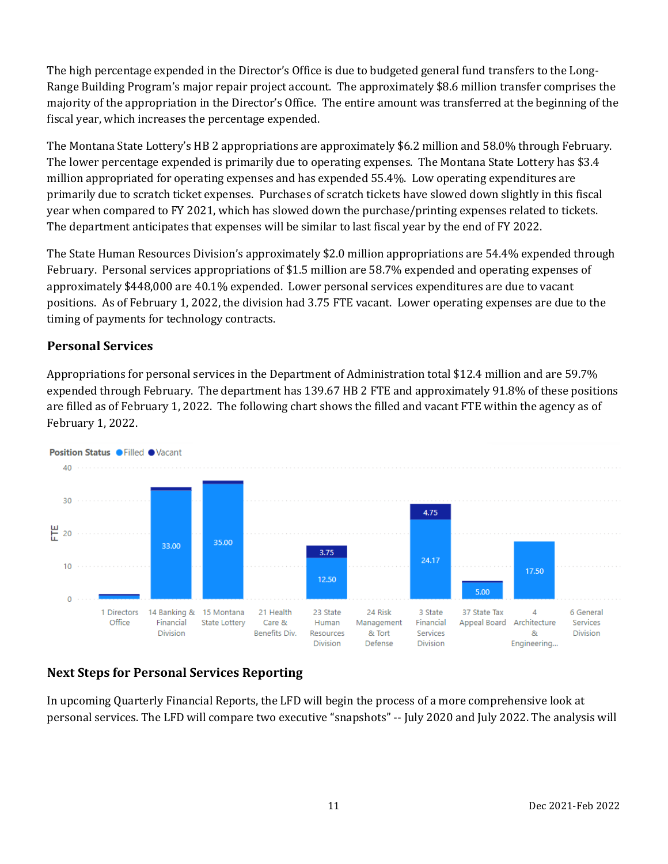The high percentage expended in the Director's Office is due to budgeted general fund transfers to the Long-Range Building Program's major repair project account. The approximately \$8.6 million transfer comprises the majority of the appropriation in the Director's Office. The entire amount was transferred at the beginning of the fiscal year, which increases the percentage expended.

The Montana State Lottery's HB 2 appropriations are approximately \$6.2 million and 58.0% through February. The lower percentage expended is primarily due to operating expenses. The Montana State Lottery has \$3.4 million appropriated for operating expenses and has expended 55.4%. Low operating expenditures are primarily due to scratch ticket expenses. Purchases of scratch tickets have slowed down slightly in this fiscal year when compared to FY 2021, which has slowed down the purchase/printing expenses related to tickets. The department anticipates that expenses will be similar to last fiscal year by the end of FY 2022.

The State Human Resources Division's approximately \$2.0 million appropriations are 54.4% expended through February. Personal services appropriations of \$1.5 million are 58.7% expended and operating expenses of approximately \$448,000 are 40.1% expended. Lower personal services expenditures are due to vacant positions. As of February 1, 2022, the division had 3.75 FTE vacant. Lower operating expenses are due to the timing of payments for technology contracts.

#### **Personal Services**

Appropriations for personal services in the Department of Administration total \$12.4 million and are 59.7% expended through February. The department has 139.67 HB 2 FTE and approximately 91.8% of these positions are filled as of February 1, 2022. The following chart shows the filled and vacant FTE within the agency as of February 1, 2022.



#### **Next Steps for Personal Services Reporting**

In upcoming Quarterly Financial Reports, the LFD will begin the process of a more comprehensive look at personal services. The LFD will compare two executive "snapshots" -- July 2020 and July 2022. The analysis will